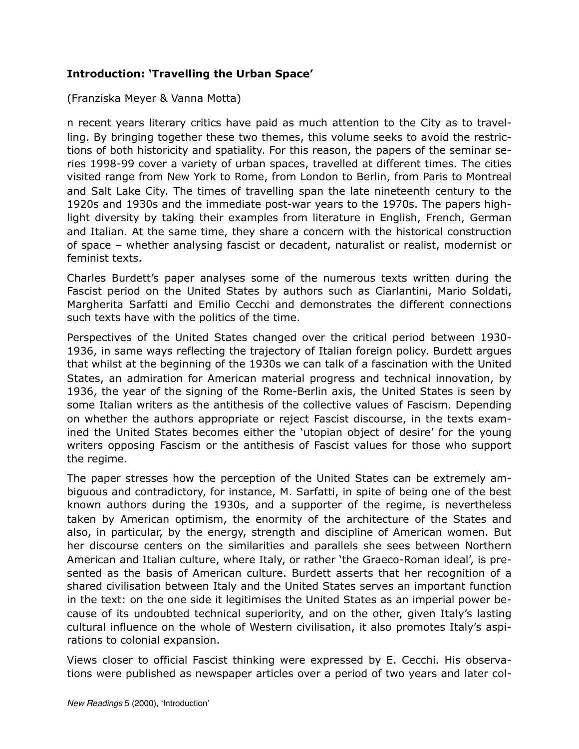## **Introduction: 'Travelling the Urban Space'**

(Franziska Meyer & Vanna Motta)

n recent years literary critics have paid as much attention to the City as to travelling. By bringing together these two themes, this volume seeks to avoid the restrictions of both historicity and spatiality. For this reason, the papers of the seminar series 1998-99 cover a variety of urban spaces, travelled at different times. The cities visited range from New York to Rome, from London to Berlin, from Paris to Montreal and Salt Lake City. The times of travelling span the late nineteenth century to the 1920s and 1930s and the immediate post-war years to the 1970s. The papers highlight diversity by taking their examples from literature in English, French, German and Italian. At the same time, they share a concern with the historical construction of space – whether analysing fascist or decadent, naturalist or realist, modernist or feminist texts.

Charles Burdett's paper analyses some of the numerous texts written during the Fascist period on the United States by authors such as Ciarlantini, Mario Soldati, Margherita Sarfatti and Emilio Cecchi and demonstrates the different connections such texts have with the politics of the time.

Perspectives of the United States changed over the critical period between 1930- 1936, in same ways reflecting the trajectory of Italian foreign policy. Burdett argues that whilst at the beginning of the 1930s we can talk of a fascination with the United States, an admiration for American material progress and technical innovation, by 1936, the year of the signing of the Rome-Berlin axis, the United States is seen by some Italian writers as the antithesis of the collective values of Fascism. Depending on whether the authors appropriate or reject Fascist discourse, in the texts examined the United States becomes either the 'utopian object of desire' for the young writers opposing Fascism or the antithesis of Fascist values for those who support the regime.

The paper stresses how the perception of the United States can be extremely ambiguous and contradictory, for instance, M. Sarfatti, in spite of being one of the best known authors during the 1930s, and a supporter of the regime, is nevertheless taken by American optimism, the enormity of the architecture of the States and also, in particular, by the energy, strength and discipline of American women. But her discourse centers on the similarities and parallels she sees between Northern American and Italian culture, where Italy, or rather 'the Graeco-Roman ideal', is presented as the basis of American culture. Burdett asserts that her recognition of a shared civilisation between Italy and the United States serves an important function in the text: on the one side it legitimises the United States as an imperial power because of its undoubted technical superiority, and on the other, given Italy's lasting cultural influence on the whole of Western civilisation, it also promotes Italy's aspirations to colonial expansion.

Views closer to official Fascist thinking were expressed by E. Cecchi. His observations were published as newspaper articles over a period of two years and later col-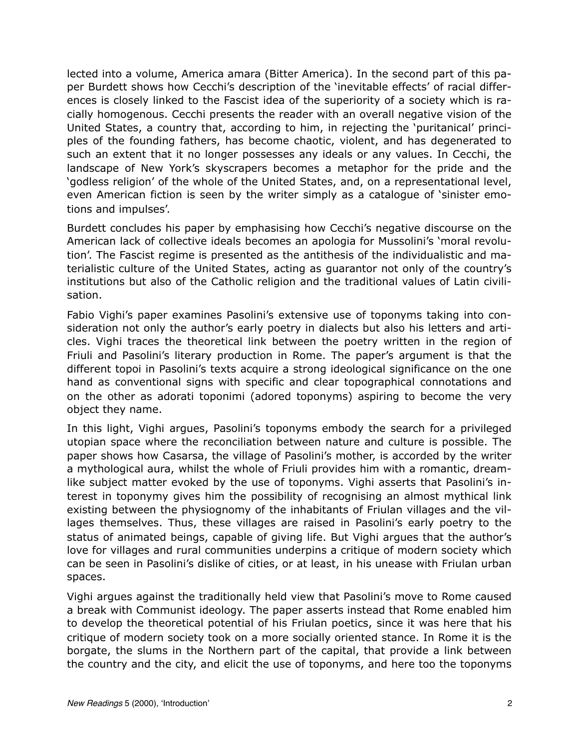lected into a volume, America amara (Bitter America). In the second part of this paper Burdett shows how Cecchi's description of the 'inevitable effects' of racial differences is closely linked to the Fascist idea of the superiority of a society which is racially homogenous. Cecchi presents the reader with an overall negative vision of the United States, a country that, according to him, in rejecting the 'puritanical' principles of the founding fathers, has become chaotic, violent, and has degenerated to such an extent that it no longer possesses any ideals or any values. In Cecchi, the landscape of New York's skyscrapers becomes a metaphor for the pride and the 'godless religion' of the whole of the United States, and, on a representational level, even American fiction is seen by the writer simply as a catalogue of 'sinister emotions and impulses'.

Burdett concludes his paper by emphasising how Cecchi's negative discourse on the American lack of collective ideals becomes an apologia for Mussolini's 'moral revolution'. The Fascist regime is presented as the antithesis of the individualistic and materialistic culture of the United States, acting as guarantor not only of the country's institutions but also of the Catholic religion and the traditional values of Latin civilisation.

Fabio Vighi's paper examines Pasolini's extensive use of toponyms taking into consideration not only the author's early poetry in dialects but also his letters and articles. Vighi traces the theoretical link between the poetry written in the region of Friuli and Pasolini's literary production in Rome. The paper's argument is that the different topoi in Pasolini's texts acquire a strong ideological significance on the one hand as conventional signs with specific and clear topographical connotations and on the other as adorati toponimi (adored toponyms) aspiring to become the very object they name.

In this light, Vighi argues, Pasolini's toponyms embody the search for a privileged utopian space where the reconciliation between nature and culture is possible. The paper shows how Casarsa, the village of Pasolini's mother, is accorded by the writer a mythological aura, whilst the whole of Friuli provides him with a romantic, dreamlike subject matter evoked by the use of toponyms. Vighi asserts that Pasolini's interest in toponymy gives him the possibility of recognising an almost mythical link existing between the physiognomy of the inhabitants of Friulan villages and the villages themselves. Thus, these villages are raised in Pasolini's early poetry to the status of animated beings, capable of giving life. But Vighi argues that the author's love for villages and rural communities underpins a critique of modern society which can be seen in Pasolini's dislike of cities, or at least, in his unease with Friulan urban spaces.

Vighi argues against the traditionally held view that Pasolini's move to Rome caused a break with Communist ideology. The paper asserts instead that Rome enabled him to develop the theoretical potential of his Friulan poetics, since it was here that his critique of modern society took on a more socially oriented stance. In Rome it is the borgate, the slums in the Northern part of the capital, that provide a link between the country and the city, and elicit the use of toponyms, and here too the toponyms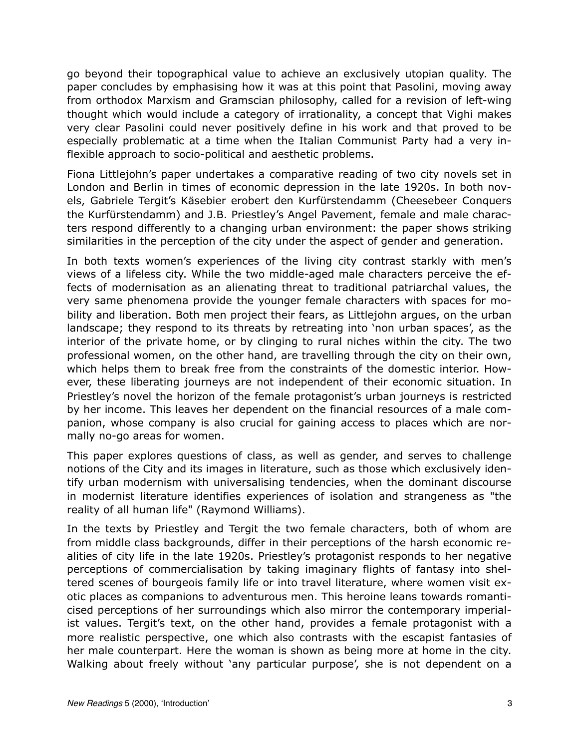go beyond their topographical value to achieve an exclusively utopian quality. The paper concludes by emphasising how it was at this point that Pasolini, moving away from orthodox Marxism and Gramscian philosophy, called for a revision of left-wing thought which would include a category of irrationality, a concept that Vighi makes very clear Pasolini could never positively define in his work and that proved to be especially problematic at a time when the Italian Communist Party had a very inflexible approach to socio-political and aesthetic problems.

Fiona Littlejohn's paper undertakes a comparative reading of two city novels set in London and Berlin in times of economic depression in the late 1920s. In both novels, Gabriele Tergit's Käsebier erobert den Kurfürstendamm (Cheesebeer Conquers the Kurfürstendamm) and J.B. Priestley's Angel Pavement, female and male characters respond differently to a changing urban environment: the paper shows striking similarities in the perception of the city under the aspect of gender and generation.

In both texts women's experiences of the living city contrast starkly with men's views of a lifeless city. While the two middle-aged male characters perceive the effects of modernisation as an alienating threat to traditional patriarchal values, the very same phenomena provide the younger female characters with spaces for mobility and liberation. Both men project their fears, as Littlejohn argues, on the urban landscape; they respond to its threats by retreating into 'non urban spaces', as the interior of the private home, or by clinging to rural niches within the city. The two professional women, on the other hand, are travelling through the city on their own, which helps them to break free from the constraints of the domestic interior. However, these liberating journeys are not independent of their economic situation. In Priestley's novel the horizon of the female protagonist's urban journeys is restricted by her income. This leaves her dependent on the financial resources of a male companion, whose company is also crucial for gaining access to places which are normally no-go areas for women.

This paper explores questions of class, as well as gender, and serves to challenge notions of the City and its images in literature, such as those which exclusively identify urban modernism with universalising tendencies, when the dominant discourse in modernist literature identifies experiences of isolation and strangeness as "the reality of all human life" (Raymond Williams).

In the texts by Priestley and Tergit the two female characters, both of whom are from middle class backgrounds, differ in their perceptions of the harsh economic realities of city life in the late 1920s. Priestley's protagonist responds to her negative perceptions of commercialisation by taking imaginary flights of fantasy into sheltered scenes of bourgeois family life or into travel literature, where women visit exotic places as companions to adventurous men. This heroine leans towards romanticised perceptions of her surroundings which also mirror the contemporary imperialist values. Tergit's text, on the other hand, provides a female protagonist with a more realistic perspective, one which also contrasts with the escapist fantasies of her male counterpart. Here the woman is shown as being more at home in the city. Walking about freely without 'any particular purpose', she is not dependent on a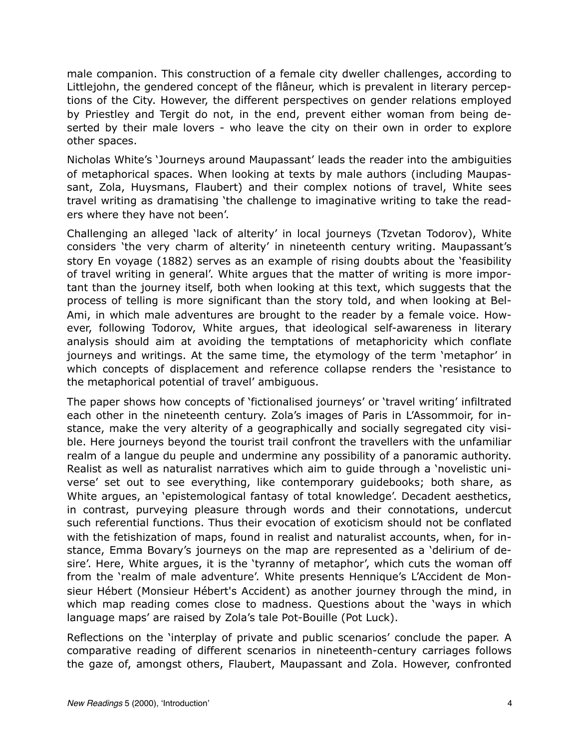male companion. This construction of a female city dweller challenges, according to Littlejohn, the gendered concept of the flâneur, which is prevalent in literary perceptions of the City. However, the different perspectives on gender relations employed by Priestley and Tergit do not, in the end, prevent either woman from being deserted by their male lovers - who leave the city on their own in order to explore other spaces.

Nicholas White's 'Journeys around Maupassant' leads the reader into the ambiguities of metaphorical spaces. When looking at texts by male authors (including Maupassant, Zola, Huysmans, Flaubert) and their complex notions of travel, White sees travel writing as dramatising 'the challenge to imaginative writing to take the readers where they have not been'.

Challenging an alleged 'lack of alterity' in local journeys (Tzvetan Todorov), White considers 'the very charm of alterity' in nineteenth century writing. Maupassant's story En voyage (1882) serves as an example of rising doubts about the 'feasibility of travel writing in general'. White argues that the matter of writing is more important than the journey itself, both when looking at this text, which suggests that the process of telling is more significant than the story told, and when looking at Bel-Ami, in which male adventures are brought to the reader by a female voice. However, following Todorov, White argues, that ideological self-awareness in literary analysis should aim at avoiding the temptations of metaphoricity which conflate journeys and writings. At the same time, the etymology of the term 'metaphor' in which concepts of displacement and reference collapse renders the 'resistance to the metaphorical potential of travel' ambiguous.

The paper shows how concepts of 'fictionalised journeys' or 'travel writing' infiltrated each other in the nineteenth century. Zola's images of Paris in L'Assommoir, for instance, make the very alterity of a geographically and socially segregated city visible. Here journeys beyond the tourist trail confront the travellers with the unfamiliar realm of a langue du peuple and undermine any possibility of a panoramic authority. Realist as well as naturalist narratives which aim to guide through a 'novelistic universe' set out to see everything, like contemporary guidebooks; both share, as White argues, an 'epistemological fantasy of total knowledge'. Decadent aesthetics, in contrast, purveying pleasure through words and their connotations, undercut such referential functions. Thus their evocation of exoticism should not be conflated with the fetishization of maps, found in realist and naturalist accounts, when, for instance, Emma Bovary's journeys on the map are represented as a 'delirium of desire'. Here, White argues, it is the 'tyranny of metaphor', which cuts the woman off from the 'realm of male adventure'. White presents Hennique's L'Accident de Monsieur Hébert (Monsieur Hébert's Accident) as another journey through the mind, in which map reading comes close to madness. Questions about the 'ways in which language maps' are raised by Zola's tale Pot-Bouille (Pot Luck).

Reflections on the 'interplay of private and public scenarios' conclude the paper. A comparative reading of different scenarios in nineteenth-century carriages follows the gaze of, amongst others, Flaubert, Maupassant and Zola. However, confronted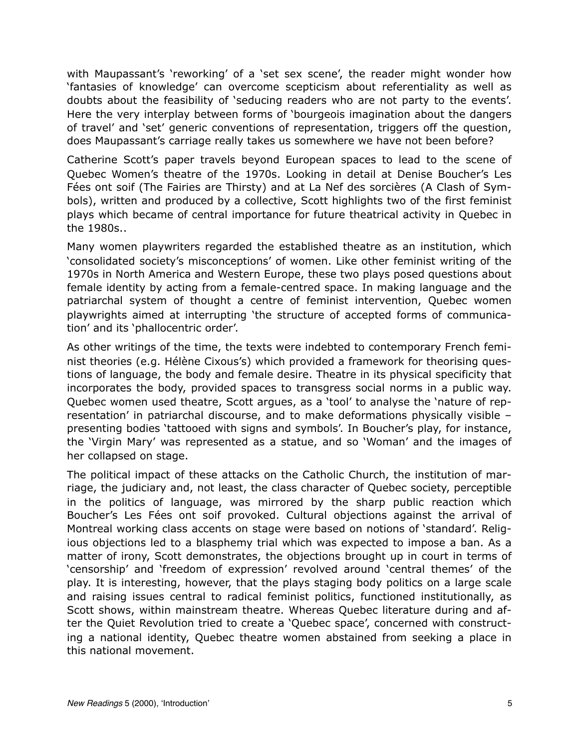with Maupassant's 'reworking' of a 'set sex scene', the reader might wonder how 'fantasies of knowledge' can overcome scepticism about referentiality as well as doubts about the feasibility of 'seducing readers who are not party to the events'. Here the very interplay between forms of 'bourgeois imagination about the dangers of travel' and 'set' generic conventions of representation, triggers off the question, does Maupassant's carriage really takes us somewhere we have not been before?

Catherine Scott's paper travels beyond European spaces to lead to the scene of Quebec Women's theatre of the 1970s. Looking in detail at Denise Boucher's Les Fées ont soif (The Fairies are Thirsty) and at La Nef des sorcières (A Clash of Symbols), written and produced by a collective, Scott highlights two of the first feminist plays which became of central importance for future theatrical activity in Quebec in the 1980s..

Many women playwriters regarded the established theatre as an institution, which 'consolidated society's misconceptions' of women. Like other feminist writing of the 1970s in North America and Western Europe, these two plays posed questions about female identity by acting from a female-centred space. In making language and the patriarchal system of thought a centre of feminist intervention, Quebec women playwrights aimed at interrupting 'the structure of accepted forms of communication' and its 'phallocentric order'.

As other writings of the time, the texts were indebted to contemporary French feminist theories (e.g. Hélène Cixous's) which provided a framework for theorising questions of language, the body and female desire. Theatre in its physical specificity that incorporates the body, provided spaces to transgress social norms in a public way. Quebec women used theatre, Scott argues, as a 'tool' to analyse the 'nature of representation' in patriarchal discourse, and to make deformations physically visible – presenting bodies 'tattooed with signs and symbols'. In Boucher's play, for instance, the 'Virgin Mary' was represented as a statue, and so 'Woman' and the images of her collapsed on stage.

The political impact of these attacks on the Catholic Church, the institution of marriage, the judiciary and, not least, the class character of Quebec society, perceptible in the politics of language, was mirrored by the sharp public reaction which Boucher's Les Fées ont soif provoked. Cultural objections against the arrival of Montreal working class accents on stage were based on notions of 'standard'. Religious objections led to a blasphemy trial which was expected to impose a ban. As a matter of irony, Scott demonstrates, the objections brought up in court in terms of 'censorship' and 'freedom of expression' revolved around 'central themes' of the play. It is interesting, however, that the plays staging body politics on a large scale and raising issues central to radical feminist politics, functioned institutionally, as Scott shows, within mainstream theatre. Whereas Quebec literature during and after the Quiet Revolution tried to create a 'Quebec space', concerned with constructing a national identity, Quebec theatre women abstained from seeking a place in this national movement.